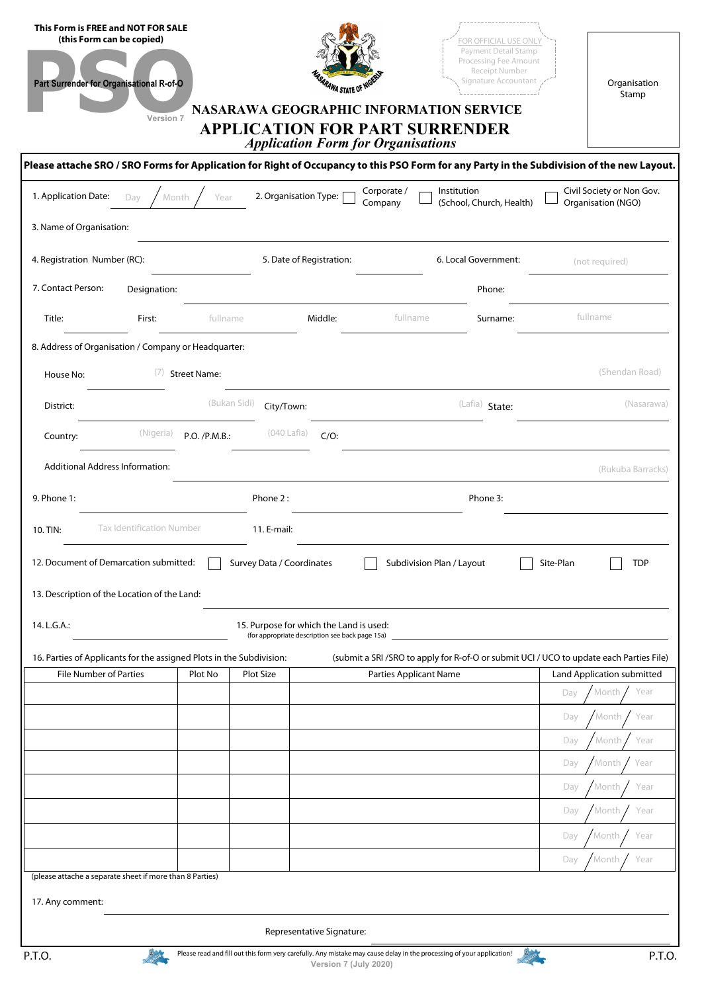| This Form is FREE and NOT FOR SALE<br>(this Form can be copied)<br>Part Surrender for Organisational R-of-O<br>Version 7                   |                                                        | RAWA STATE OF N<br>NASARAWA GEOGRAPHIC INFORMATION SERVICE<br><b>APPLICATION FOR PART SURRENDER</b><br><b>Application Form for Organisations</b> |                                                                                                                          | FOR OFFICIAL USE ONL<br>Payment Detail Stamp<br>Processing Fee Amount<br>Receipt Number<br>Signature Accountant |           | Organisation<br>Stamp                           |  |  |  |  |  |  |
|--------------------------------------------------------------------------------------------------------------------------------------------|--------------------------------------------------------|--------------------------------------------------------------------------------------------------------------------------------------------------|--------------------------------------------------------------------------------------------------------------------------|-----------------------------------------------------------------------------------------------------------------|-----------|-------------------------------------------------|--|--|--|--|--|--|
| Please attache SRO / SRO Forms for Application for Right of Occupancy to this PSO Form for any Party in the Subdivision of the new Layout. |                                                        |                                                                                                                                                  |                                                                                                                          |                                                                                                                 |           |                                                 |  |  |  |  |  |  |
| 1. Application Date:<br>Day                                                                                                                | Year<br>Month                                          | 2. Organisation Type:                                                                                                                            | Corporate /<br>Company                                                                                                   | Institution<br>(School, Church, Health)                                                                         |           | Civil Society or Non Gov.<br>Organisation (NGO) |  |  |  |  |  |  |
| 3. Name of Organisation:                                                                                                                   |                                                        |                                                                                                                                                  |                                                                                                                          |                                                                                                                 |           |                                                 |  |  |  |  |  |  |
| 4. Registration Number (RC):                                                                                                               |                                                        | 5. Date of Registration:                                                                                                                         |                                                                                                                          | 6. Local Government:                                                                                            |           | (not required)                                  |  |  |  |  |  |  |
| 7. Contact Person:<br>Designation:                                                                                                         |                                                        |                                                                                                                                                  |                                                                                                                          | Phone:                                                                                                          |           |                                                 |  |  |  |  |  |  |
| Title:<br>First:                                                                                                                           | fullname                                               | Middle:                                                                                                                                          | fullname                                                                                                                 | Surname:                                                                                                        |           | fullname                                        |  |  |  |  |  |  |
| 8. Address of Organisation / Company or Headquarter:                                                                                       |                                                        |                                                                                                                                                  |                                                                                                                          |                                                                                                                 |           |                                                 |  |  |  |  |  |  |
| (7)<br>House No:                                                                                                                           | <b>Street Name:</b>                                    |                                                                                                                                                  |                                                                                                                          |                                                                                                                 |           | (Shendan Road)                                  |  |  |  |  |  |  |
| District:                                                                                                                                  | (Bukan Sidi)                                           | City/Town:                                                                                                                                       |                                                                                                                          | (Lafia) State:                                                                                                  |           | (Nasarawa)                                      |  |  |  |  |  |  |
| (Nigeria)<br>Country:                                                                                                                      | P.O. /P.M.B.:                                          | $(040$ Lafia)<br>$C/O$ :                                                                                                                         |                                                                                                                          |                                                                                                                 |           |                                                 |  |  |  |  |  |  |
| <b>Additional Address Information:</b>                                                                                                     |                                                        |                                                                                                                                                  |                                                                                                                          |                                                                                                                 |           | (Rukuba Barracks)                               |  |  |  |  |  |  |
| 9. Phone 1:                                                                                                                                |                                                        | Phone 2:                                                                                                                                         |                                                                                                                          | Phone 3:                                                                                                        |           |                                                 |  |  |  |  |  |  |
| <b>Tax Identification Number</b><br>10. TIN:                                                                                               |                                                        | 11. E-mail:                                                                                                                                      |                                                                                                                          |                                                                                                                 |           |                                                 |  |  |  |  |  |  |
| 12. Document of Demarcation submitted:                                                                                                     |                                                        |                                                                                                                                                  |                                                                                                                          |                                                                                                                 | Site-Plan | <b>TDP</b>                                      |  |  |  |  |  |  |
| 13. Description of the Location of the Land:                                                                                               | Subdivision Plan / Layout<br>Survey Data / Coordinates |                                                                                                                                                  |                                                                                                                          |                                                                                                                 |           |                                                 |  |  |  |  |  |  |
|                                                                                                                                            |                                                        |                                                                                                                                                  |                                                                                                                          |                                                                                                                 |           |                                                 |  |  |  |  |  |  |
| 14. L.G.A.:                                                                                                                                |                                                        | 15. Purpose for which the Land is used:<br>(for appropriate description see back page 15a)                                                       |                                                                                                                          |                                                                                                                 |           |                                                 |  |  |  |  |  |  |
| 16. Parties of Applicants for the assigned Plots in the Subdivision:<br><b>File Number of Parties</b>                                      | Plot No                                                | Plot Size                                                                                                                                        | (submit a SRI /SRO to apply for R-of-O or submit UCI / UCO to update each Parties File)<br><b>Parties Applicant Name</b> |                                                                                                                 |           | Land Application submitted                      |  |  |  |  |  |  |
|                                                                                                                                            |                                                        |                                                                                                                                                  |                                                                                                                          |                                                                                                                 | Day       | Year<br>Month                                   |  |  |  |  |  |  |
|                                                                                                                                            |                                                        |                                                                                                                                                  |                                                                                                                          |                                                                                                                 | Day       | Month.<br>Year                                  |  |  |  |  |  |  |
|                                                                                                                                            |                                                        |                                                                                                                                                  |                                                                                                                          |                                                                                                                 | Day       | Month<br>Year                                   |  |  |  |  |  |  |
|                                                                                                                                            |                                                        |                                                                                                                                                  |                                                                                                                          |                                                                                                                 | Day       | Month<br>Year                                   |  |  |  |  |  |  |
|                                                                                                                                            |                                                        |                                                                                                                                                  |                                                                                                                          |                                                                                                                 | Day       | Month<br>Year                                   |  |  |  |  |  |  |
|                                                                                                                                            |                                                        |                                                                                                                                                  |                                                                                                                          |                                                                                                                 | Day       | Month<br>Year                                   |  |  |  |  |  |  |
|                                                                                                                                            |                                                        |                                                                                                                                                  |                                                                                                                          |                                                                                                                 | Day       | Year<br>Month                                   |  |  |  |  |  |  |
|                                                                                                                                            |                                                        |                                                                                                                                                  |                                                                                                                          |                                                                                                                 | Day       | Month<br>Year                                   |  |  |  |  |  |  |
| (please attache a separate sheet if more than 8 Parties)                                                                                   |                                                        |                                                                                                                                                  |                                                                                                                          |                                                                                                                 |           |                                                 |  |  |  |  |  |  |
| 17. Any comment:                                                                                                                           |                                                        |                                                                                                                                                  |                                                                                                                          |                                                                                                                 |           |                                                 |  |  |  |  |  |  |
|                                                                                                                                            |                                                        | Representative Signature:                                                                                                                        |                                                                                                                          |                                                                                                                 |           |                                                 |  |  |  |  |  |  |
| P.T.O.                                                                                                                                     |                                                        | Please read and fill out this form very carefully. Any mistake may cause delay in the processing of your application!<br>Version 7 (July 2020)   |                                                                                                                          |                                                                                                                 |           | P.T.O.                                          |  |  |  |  |  |  |